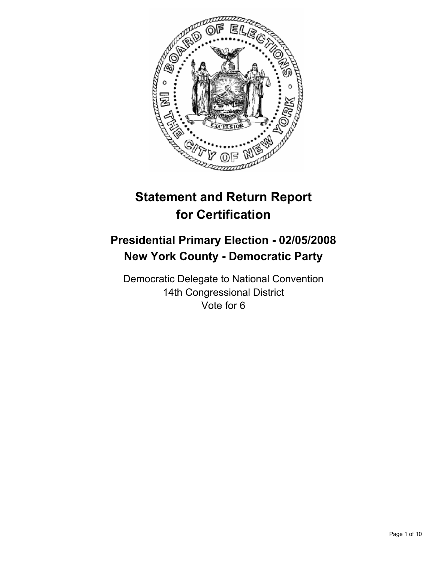

# **Statement and Return Report for Certification**

## **Presidential Primary Election - 02/05/2008 New York County - Democratic Party**

Democratic Delegate to National Convention 14th Congressional District Vote for 6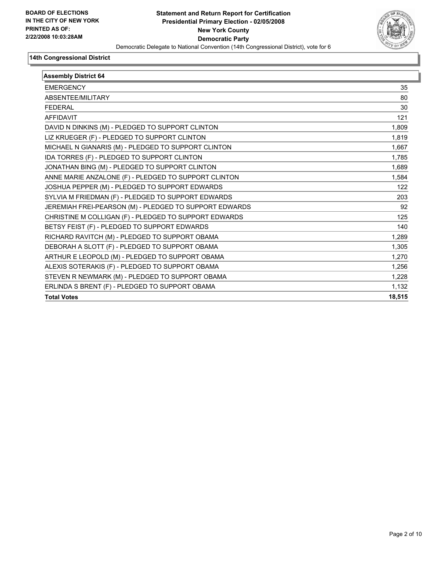

| <b>Assembly District 64</b>                            |        |
|--------------------------------------------------------|--------|
| <b>EMERGENCY</b>                                       | 35     |
| ABSENTEE/MILITARY                                      | 80     |
| <b>FEDERAL</b>                                         | 30     |
| <b>AFFIDAVIT</b>                                       | 121    |
| DAVID N DINKINS (M) - PLEDGED TO SUPPORT CLINTON       | 1,809  |
| LIZ KRUEGER (F) - PLEDGED TO SUPPORT CLINTON           | 1,819  |
| MICHAEL N GIANARIS (M) - PLEDGED TO SUPPORT CLINTON    | 1,667  |
| IDA TORRES (F) - PLEDGED TO SUPPORT CLINTON            | 1.785  |
| JONATHAN BING (M) - PLEDGED TO SUPPORT CLINTON         | 1,689  |
| ANNE MARIE ANZALONE (F) - PLEDGED TO SUPPORT CLINTON   | 1,584  |
| JOSHUA PEPPER (M) - PLEDGED TO SUPPORT EDWARDS         | 122    |
| SYLVIA M FRIEDMAN (F) - PLEDGED TO SUPPORT EDWARDS     | 203    |
| JEREMIAH FREI-PEARSON (M) - PLEDGED TO SUPPORT EDWARDS | 92     |
| CHRISTINE M COLLIGAN (F) - PLEDGED TO SUPPORT EDWARDS  | 125    |
| BETSY FEIST (F) - PLEDGED TO SUPPORT EDWARDS           | 140    |
| RICHARD RAVITCH (M) - PLEDGED TO SUPPORT OBAMA         | 1,289  |
| DEBORAH A SLOTT (F) - PLEDGED TO SUPPORT OBAMA         | 1,305  |
| ARTHUR E LEOPOLD (M) - PLEDGED TO SUPPORT OBAMA        | 1,270  |
| ALEXIS SOTERAKIS (F) - PLEDGED TO SUPPORT OBAMA        | 1,256  |
| STEVEN R NEWMARK (M) - PLEDGED TO SUPPORT OBAMA        | 1,228  |
| ERLINDA S BRENT (F) - PLEDGED TO SUPPORT OBAMA         | 1,132  |
| <b>Total Votes</b>                                     | 18,515 |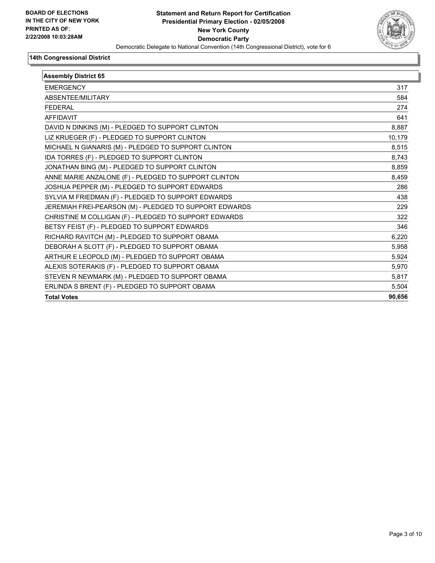

| <b>Assembly District 65</b>                            |        |
|--------------------------------------------------------|--------|
| <b>EMERGENCY</b>                                       | 317    |
| ABSENTEE/MILITARY                                      | 584    |
| <b>FEDERAL</b>                                         | 274    |
| <b>AFFIDAVIT</b>                                       | 641    |
| DAVID N DINKINS (M) - PLEDGED TO SUPPORT CLINTON       | 8,887  |
| LIZ KRUEGER (F) - PLEDGED TO SUPPORT CLINTON           | 10,179 |
| MICHAEL N GIANARIS (M) - PLEDGED TO SUPPORT CLINTON    | 8,515  |
| IDA TORRES (F) - PLEDGED TO SUPPORT CLINTON            | 8,743  |
| JONATHAN BING (M) - PLEDGED TO SUPPORT CLINTON         | 8,859  |
| ANNE MARIE ANZALONE (F) - PLEDGED TO SUPPORT CLINTON   | 8,459  |
| JOSHUA PEPPER (M) - PLEDGED TO SUPPORT EDWARDS         | 286    |
| SYLVIA M FRIEDMAN (F) - PLEDGED TO SUPPORT EDWARDS     | 438    |
| JEREMIAH FREI-PEARSON (M) - PLEDGED TO SUPPORT EDWARDS | 229    |
| CHRISTINE M COLLIGAN (F) - PLEDGED TO SUPPORT EDWARDS  | 322    |
| BETSY FEIST (F) - PLEDGED TO SUPPORT EDWARDS           | 346    |
| RICHARD RAVITCH (M) - PLEDGED TO SUPPORT OBAMA         | 6,220  |
| DEBORAH A SLOTT (F) - PLEDGED TO SUPPORT OBAMA         | 5,958  |
| ARTHUR E LEOPOLD (M) - PLEDGED TO SUPPORT OBAMA        | 5,924  |
| ALEXIS SOTERAKIS (F) - PLEDGED TO SUPPORT OBAMA        | 5,970  |
| STEVEN R NEWMARK (M) - PLEDGED TO SUPPORT OBAMA        | 5,817  |
| ERLINDA S BRENT (F) - PLEDGED TO SUPPORT OBAMA         | 5,504  |
| <b>Total Votes</b>                                     | 90,656 |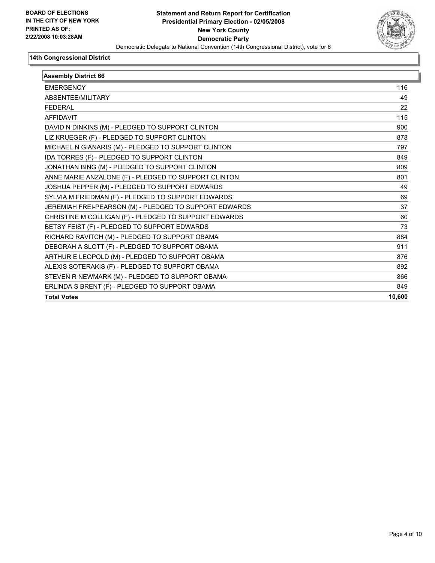

| <b>Assembly District 66</b>                            |        |
|--------------------------------------------------------|--------|
| <b>EMERGENCY</b>                                       | 116    |
| <b>ABSENTFF/MILITARY</b>                               | 49     |
| <b>FEDERAL</b>                                         | 22     |
| <b>AFFIDAVIT</b>                                       | 115    |
| DAVID N DINKINS (M) - PLEDGED TO SUPPORT CLINTON       | 900    |
| LIZ KRUEGER (F) - PLEDGED TO SUPPORT CLINTON           | 878    |
| MICHAEL N GIANARIS (M) - PLEDGED TO SUPPORT CLINTON    | 797    |
| IDA TORRES (F) - PLEDGED TO SUPPORT CLINTON            | 849    |
| JONATHAN BING (M) - PLEDGED TO SUPPORT CLINTON         | 809    |
| ANNE MARIE ANZALONE (F) - PLEDGED TO SUPPORT CLINTON   | 801    |
| JOSHUA PEPPER (M) - PLEDGED TO SUPPORT EDWARDS         | 49     |
| SYLVIA M FRIEDMAN (F) - PLEDGED TO SUPPORT EDWARDS     | 69     |
| JEREMIAH FREI-PEARSON (M) - PLEDGED TO SUPPORT EDWARDS | 37     |
| CHRISTINE M COLLIGAN (F) - PLEDGED TO SUPPORT EDWARDS  | 60     |
| BETSY FEIST (F) - PLEDGED TO SUPPORT EDWARDS           | 73     |
| RICHARD RAVITCH (M) - PLEDGED TO SUPPORT OBAMA         | 884    |
| DEBORAH A SLOTT (F) - PLEDGED TO SUPPORT OBAMA         | 911    |
| ARTHUR E LEOPOLD (M) - PLEDGED TO SUPPORT OBAMA        | 876    |
| ALEXIS SOTERAKIS (F) - PLEDGED TO SUPPORT OBAMA        | 892    |
| STEVEN R NEWMARK (M) - PLEDGED TO SUPPORT OBAMA        | 866    |
| ERLINDA S BRENT (F) - PLEDGED TO SUPPORT OBAMA         | 849    |
| <b>Total Votes</b>                                     | 10,600 |
|                                                        |        |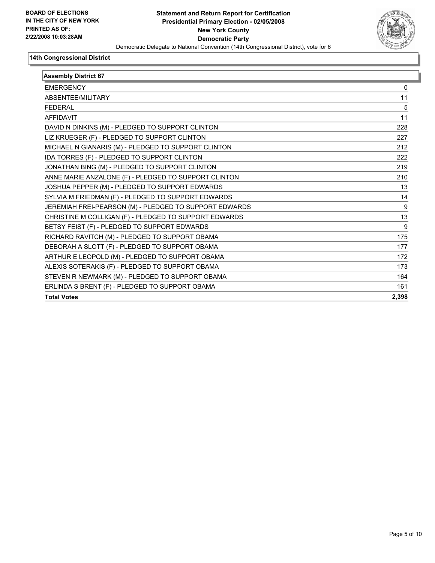

| <b>Assembly District 67</b>                            |       |
|--------------------------------------------------------|-------|
| <b>EMERGENCY</b>                                       | 0     |
| ABSENTEE/MILITARY                                      | 11    |
| <b>FEDERAL</b>                                         | 5     |
| <b>AFFIDAVIT</b>                                       | 11    |
| DAVID N DINKINS (M) - PLEDGED TO SUPPORT CLINTON       | 228   |
| LIZ KRUEGER (F) - PLEDGED TO SUPPORT CLINTON           | 227   |
| MICHAEL N GIANARIS (M) - PLEDGED TO SUPPORT CLINTON    | 212   |
| IDA TORRES (F) - PLEDGED TO SUPPORT CLINTON            | 222   |
| JONATHAN BING (M) - PLEDGED TO SUPPORT CLINTON         | 219   |
| ANNE MARIE ANZALONE (F) - PLEDGED TO SUPPORT CLINTON   | 210   |
| JOSHUA PEPPER (M) - PLEDGED TO SUPPORT EDWARDS         | 13    |
| SYLVIA M FRIEDMAN (F) - PLEDGED TO SUPPORT EDWARDS     | 14    |
| JEREMIAH FREI-PEARSON (M) - PLEDGED TO SUPPORT EDWARDS | 9     |
| CHRISTINE M COLLIGAN (F) - PLEDGED TO SUPPORT EDWARDS  | 13    |
| BETSY FEIST (F) - PLEDGED TO SUPPORT EDWARDS           | 9     |
| RICHARD RAVITCH (M) - PLEDGED TO SUPPORT OBAMA         | 175   |
| DEBORAH A SLOTT (F) - PLEDGED TO SUPPORT OBAMA         | 177   |
| ARTHUR E LEOPOLD (M) - PLEDGED TO SUPPORT OBAMA        | 172   |
| ALEXIS SOTERAKIS (F) - PLEDGED TO SUPPORT OBAMA        | 173   |
| STEVEN R NEWMARK (M) - PLEDGED TO SUPPORT OBAMA        | 164   |
| ERLINDA S BRENT (F) - PLEDGED TO SUPPORT OBAMA         | 161   |
| <b>Total Votes</b>                                     | 2,398 |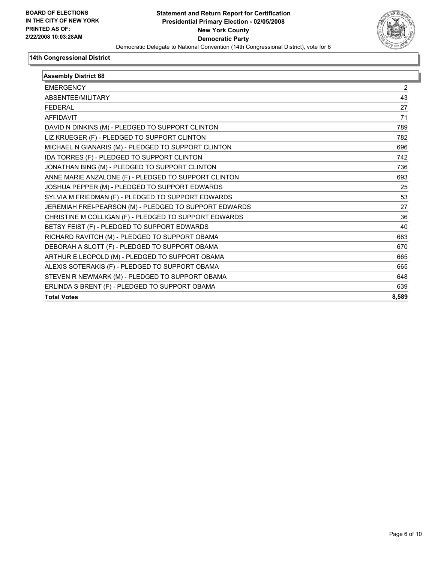

| <b>Assembly District 68</b>                            |       |
|--------------------------------------------------------|-------|
| <b>EMERGENCY</b>                                       | 2     |
| <b>ABSENTFF/MILITARY</b>                               | 43    |
| <b>FEDERAL</b>                                         | 27    |
| <b>AFFIDAVIT</b>                                       | 71    |
| DAVID N DINKINS (M) - PLEDGED TO SUPPORT CLINTON       | 789   |
| LIZ KRUEGER (F) - PLEDGED TO SUPPORT CLINTON           | 782   |
| MICHAEL N GIANARIS (M) - PLEDGED TO SUPPORT CLINTON    | 696   |
| IDA TORRES (F) - PLEDGED TO SUPPORT CLINTON            | 742   |
| JONATHAN BING (M) - PLEDGED TO SUPPORT CLINTON         | 736   |
| ANNE MARIE ANZALONE (F) - PLEDGED TO SUPPORT CLINTON   | 693   |
| JOSHUA PEPPER (M) - PLEDGED TO SUPPORT EDWARDS         | 25    |
| SYLVIA M FRIEDMAN (F) - PLEDGED TO SUPPORT EDWARDS     | 53    |
| JEREMIAH FREI-PEARSON (M) - PLEDGED TO SUPPORT EDWARDS | 27    |
| CHRISTINE M COLLIGAN (F) - PLEDGED TO SUPPORT EDWARDS  | 36    |
| BETSY FEIST (F) - PLEDGED TO SUPPORT EDWARDS           | 40    |
| RICHARD RAVITCH (M) - PLEDGED TO SUPPORT OBAMA         | 683   |
| DEBORAH A SLOTT (F) - PLEDGED TO SUPPORT OBAMA         | 670   |
| ARTHUR E LEOPOLD (M) - PLEDGED TO SUPPORT OBAMA        | 665   |
| ALEXIS SOTERAKIS (F) - PLEDGED TO SUPPORT OBAMA        | 665   |
| STEVEN R NEWMARK (M) - PLEDGED TO SUPPORT OBAMA        | 648   |
| ERLINDA S BRENT (F) - PLEDGED TO SUPPORT OBAMA         | 639   |
| <b>Total Votes</b>                                     | 8,589 |
|                                                        |       |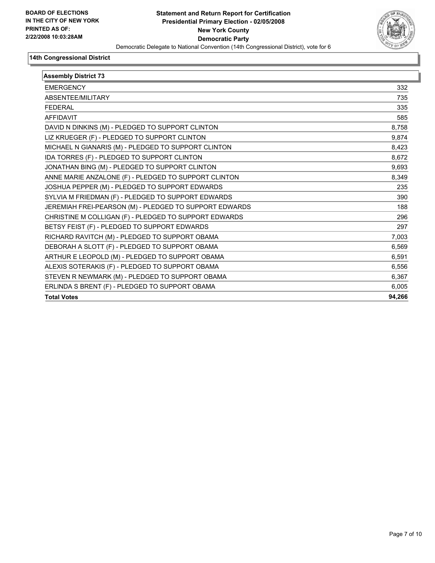

| <b>Assembly District 73</b>                            |        |
|--------------------------------------------------------|--------|
| <b>EMERGENCY</b>                                       | 332    |
| ABSENTEE/MILITARY                                      | 735    |
| <b>FEDERAL</b>                                         | 335    |
| <b>AFFIDAVIT</b>                                       | 585    |
| DAVID N DINKINS (M) - PLEDGED TO SUPPORT CLINTON       | 8,758  |
| LIZ KRUEGER (F) - PLEDGED TO SUPPORT CLINTON           | 9,874  |
| MICHAEL N GIANARIS (M) - PLEDGED TO SUPPORT CLINTON    | 8,423  |
| IDA TORRES (F) - PLEDGED TO SUPPORT CLINTON            | 8,672  |
| JONATHAN BING (M) - PLEDGED TO SUPPORT CLINTON         | 9,693  |
| ANNE MARIE ANZALONE (F) - PLEDGED TO SUPPORT CLINTON   | 8,349  |
| JOSHUA PEPPER (M) - PLEDGED TO SUPPORT EDWARDS         | 235    |
| SYLVIA M FRIEDMAN (F) - PLEDGED TO SUPPORT EDWARDS     | 390    |
| JEREMIAH FREI-PEARSON (M) - PLEDGED TO SUPPORT EDWARDS | 188    |
| CHRISTINE M COLLIGAN (F) - PLEDGED TO SUPPORT EDWARDS  | 296    |
| BETSY FEIST (F) - PLEDGED TO SUPPORT EDWARDS           | 297    |
| RICHARD RAVITCH (M) - PLEDGED TO SUPPORT OBAMA         | 7,003  |
| DEBORAH A SLOTT (F) - PLEDGED TO SUPPORT OBAMA         | 6,569  |
| ARTHUR E LEOPOLD (M) - PLEDGED TO SUPPORT OBAMA        | 6,591  |
| ALEXIS SOTERAKIS (F) - PLEDGED TO SUPPORT OBAMA        | 6,556  |
| STEVEN R NEWMARK (M) - PLEDGED TO SUPPORT OBAMA        | 6,367  |
| ERLINDA S BRENT (F) - PLEDGED TO SUPPORT OBAMA         | 6.005  |
| <b>Total Votes</b>                                     | 94,266 |
|                                                        |        |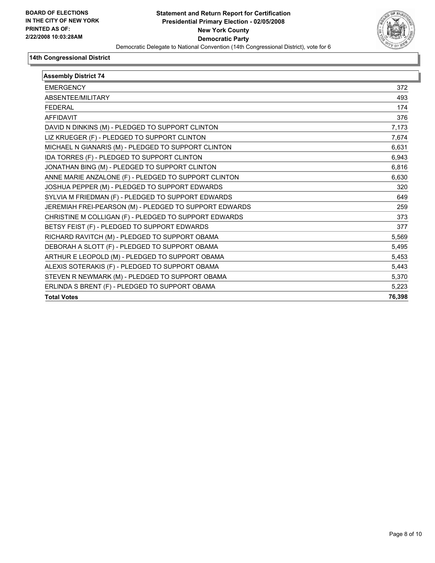

| <b>Assembly District 74</b>                            |        |
|--------------------------------------------------------|--------|
| <b>EMERGENCY</b>                                       | 372    |
| ABSENTEE/MILITARY                                      | 493    |
| <b>FEDERAL</b>                                         | 174    |
| <b>AFFIDAVIT</b>                                       | 376    |
| DAVID N DINKINS (M) - PLEDGED TO SUPPORT CLINTON       | 7,173  |
| LIZ KRUEGER (F) - PLEDGED TO SUPPORT CLINTON           | 7,674  |
| MICHAEL N GIANARIS (M) - PLEDGED TO SUPPORT CLINTON    | 6,631  |
| IDA TORRES (F) - PLEDGED TO SUPPORT CLINTON            | 6,943  |
| JONATHAN BING (M) - PLEDGED TO SUPPORT CLINTON         | 6,816  |
| ANNE MARIE ANZALONE (F) - PLEDGED TO SUPPORT CLINTON   | 6,630  |
| JOSHUA PEPPER (M) - PLEDGED TO SUPPORT EDWARDS         | 320    |
| SYLVIA M FRIEDMAN (F) - PLEDGED TO SUPPORT EDWARDS     | 649    |
| JEREMIAH FREI-PEARSON (M) - PLEDGED TO SUPPORT EDWARDS | 259    |
| CHRISTINE M COLLIGAN (F) - PLEDGED TO SUPPORT EDWARDS  | 373    |
| BETSY FEIST (F) - PLEDGED TO SUPPORT EDWARDS           | 377    |
| RICHARD RAVITCH (M) - PLEDGED TO SUPPORT OBAMA         | 5,569  |
| DEBORAH A SLOTT (F) - PLEDGED TO SUPPORT OBAMA         | 5,495  |
| ARTHUR E LEOPOLD (M) - PLEDGED TO SUPPORT OBAMA        | 5,453  |
| ALEXIS SOTERAKIS (F) - PLEDGED TO SUPPORT OBAMA        | 5,443  |
| STEVEN R NEWMARK (M) - PLEDGED TO SUPPORT OBAMA        | 5,370  |
| ERLINDA S BRENT (F) - PLEDGED TO SUPPORT OBAMA         | 5.223  |
| <b>Total Votes</b>                                     | 76,398 |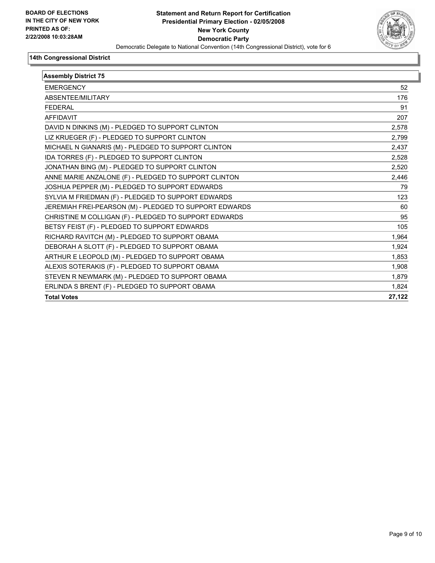

| <b>Assembly District 75</b>                            |        |
|--------------------------------------------------------|--------|
| <b>EMERGENCY</b>                                       | 52     |
| ABSENTEE/MILITARY                                      | 176    |
| <b>FEDERAL</b>                                         | 91     |
| <b>AFFIDAVIT</b>                                       | 207    |
| DAVID N DINKINS (M) - PLEDGED TO SUPPORT CLINTON       | 2,578  |
| LIZ KRUEGER (F) - PLEDGED TO SUPPORT CLINTON           | 2,799  |
| MICHAEL N GIANARIS (M) - PLEDGED TO SUPPORT CLINTON    | 2,437  |
| IDA TORRES (F) - PLEDGED TO SUPPORT CLINTON            | 2,528  |
| JONATHAN BING (M) - PLEDGED TO SUPPORT CLINTON         | 2,520  |
| ANNE MARIE ANZALONE (F) - PLEDGED TO SUPPORT CLINTON   | 2,446  |
| JOSHUA PEPPER (M) - PLEDGED TO SUPPORT EDWARDS         | 79     |
| SYLVIA M FRIEDMAN (F) - PLEDGED TO SUPPORT EDWARDS     | 123    |
| JEREMIAH FREI-PEARSON (M) - PLEDGED TO SUPPORT EDWARDS | 60     |
| CHRISTINE M COLLIGAN (F) - PLEDGED TO SUPPORT EDWARDS  | 95     |
| BETSY FEIST (F) - PLEDGED TO SUPPORT EDWARDS           | 105    |
| RICHARD RAVITCH (M) - PLEDGED TO SUPPORT OBAMA         | 1.964  |
| DEBORAH A SLOTT (F) - PLEDGED TO SUPPORT OBAMA         | 1,924  |
| ARTHUR E LEOPOLD (M) - PLEDGED TO SUPPORT OBAMA        | 1,853  |
| ALEXIS SOTERAKIS (F) - PLEDGED TO SUPPORT OBAMA        | 1,908  |
| STEVEN R NEWMARK (M) - PLEDGED TO SUPPORT OBAMA        | 1,879  |
| ERLINDA S BRENT (F) - PLEDGED TO SUPPORT OBAMA         | 1.824  |
| <b>Total Votes</b>                                     | 27,122 |